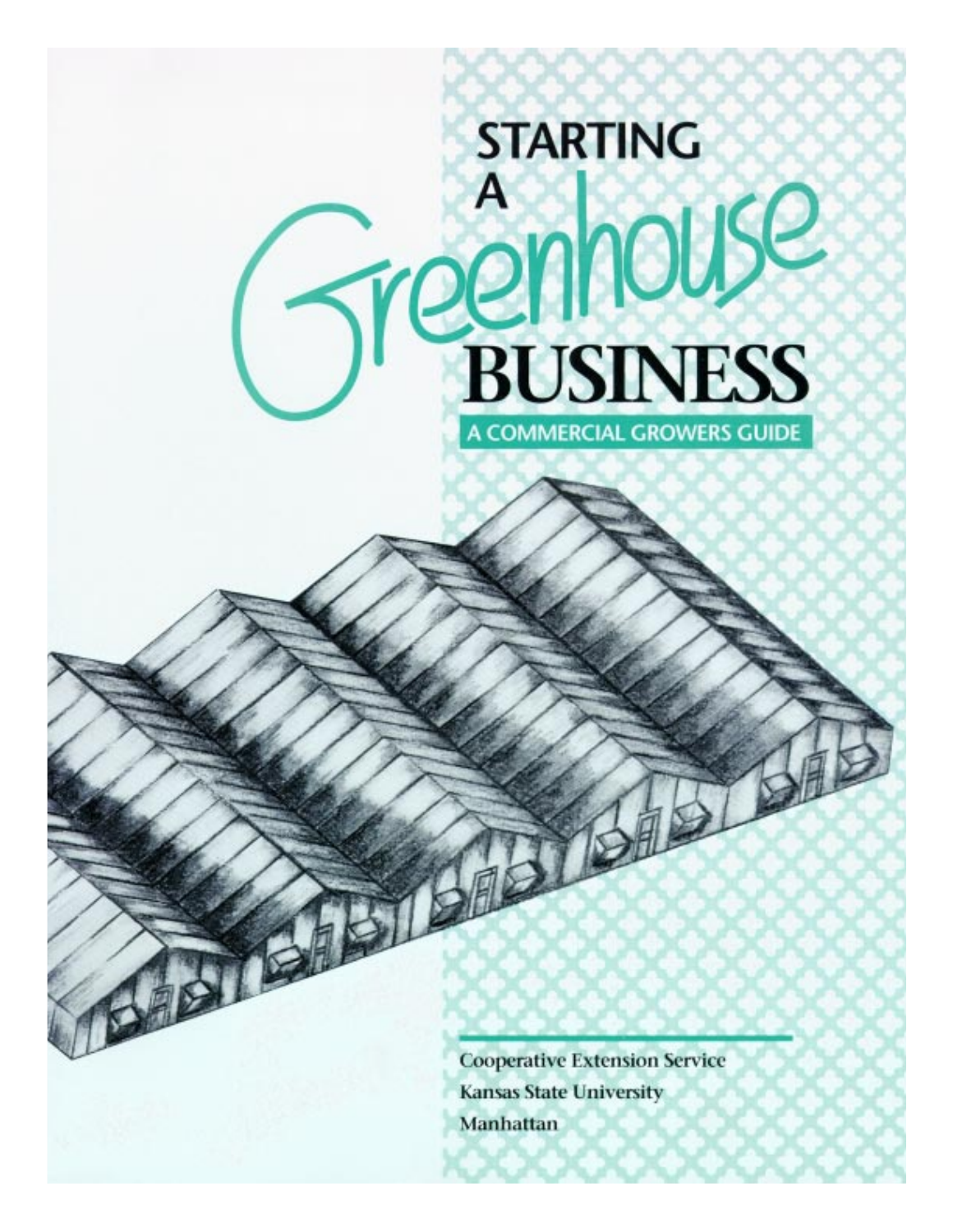# **STARTING** Treenhouse A **BUSINESS A COMMERCIAL GROWERS GUIDE**

**Cooperative Extension Service Kansas State University** Manhattan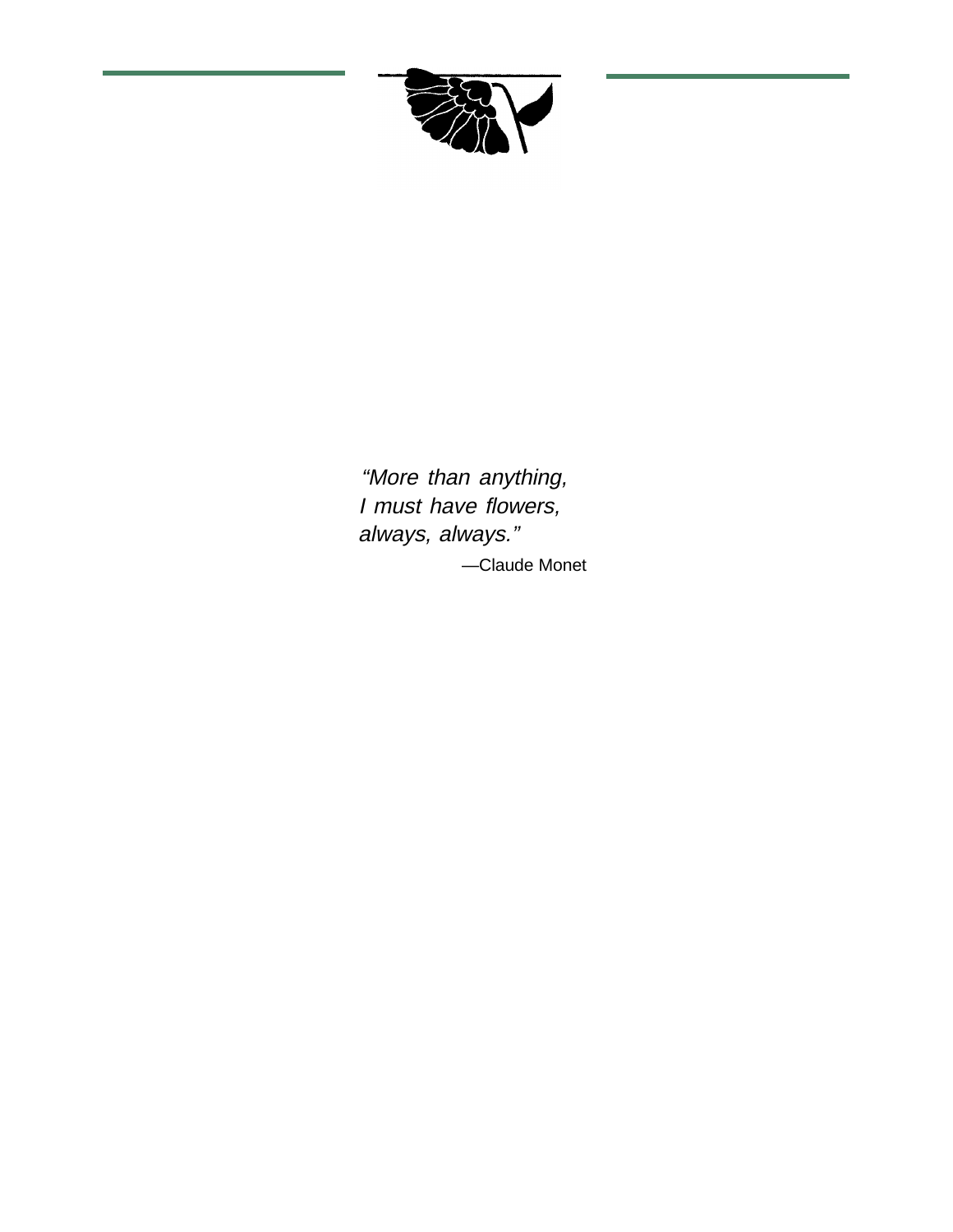

"More than anything, I must have flowers, always, always." —Claude Monet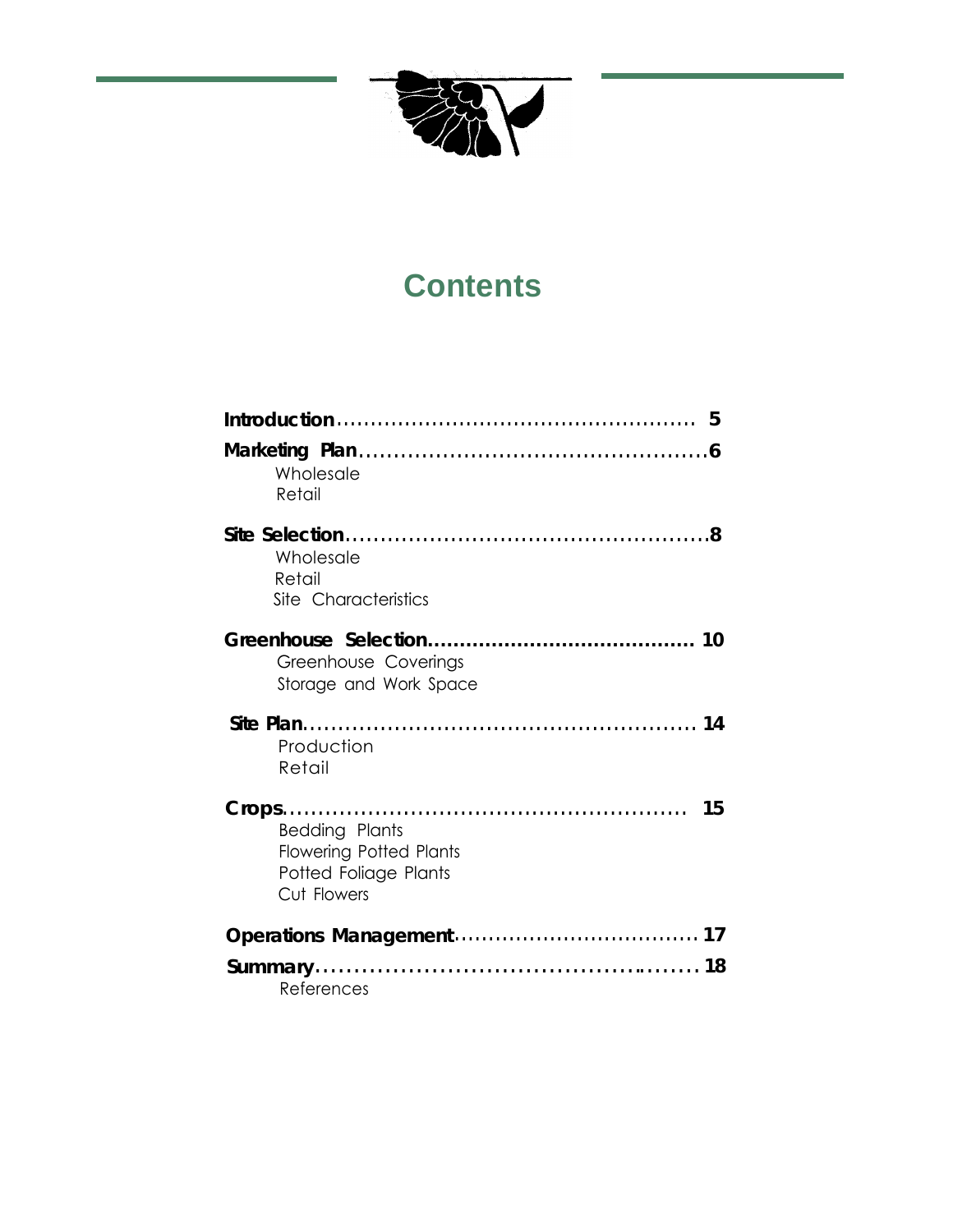

# **Contents**

| .5                                                                                              |  |
|-------------------------------------------------------------------------------------------------|--|
| Wholesale<br>Retail                                                                             |  |
| Wholesale<br>Retail<br>Site Characteristics                                                     |  |
| Greenhouse Coverings<br>Storage and Work Space                                                  |  |
| Production<br>Retail                                                                            |  |
| -15<br>Bedding Plants<br><b>Flowering Potted Plants</b><br>Potted Foliage Plants<br>Cut Flowers |  |
|                                                                                                 |  |
| References                                                                                      |  |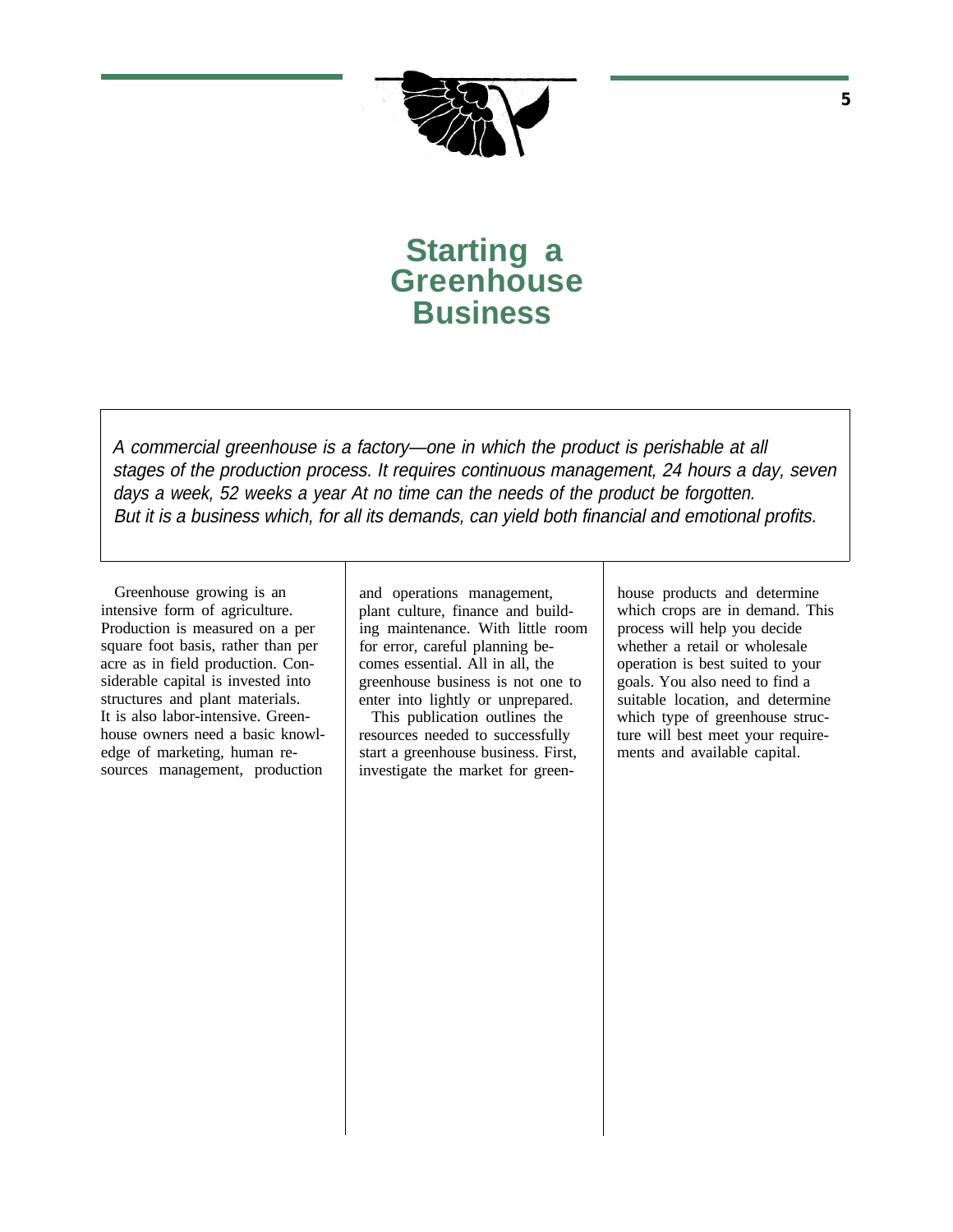

**Starting a Greenhouse Business**

A commercial greenhouse is a factory—one in which the product is perishable at all stages of the production process. It requires continuous management, 24 hours a day, seven days a week, 52 weeks a year At no time can the needs of the product be forgotten. But it is a business which, for all its demands, can yield both financial and emotional profits.

Greenhouse growing is an intensive form of agriculture. Production is measured on a per square foot basis, rather than per acre as in field production. Considerable capital is invested into structures and plant materials. It is also labor-intensive. Greenhouse owners need a basic knowledge of marketing, human resources management, production and operations management, plant culture, finance and building maintenance. With little room for error, careful planning becomes essential. All in all, the greenhouse business is not one to enter into lightly or unprepared.

This publication outlines the resources needed to successfully start a greenhouse business. First, investigate the market for greenhouse products and determine which crops are in demand. This process will help you decide whether a retail or wholesale operation is best suited to your goals. You also need to find a suitable location, and determine which type of greenhouse structure will best meet your requirements and available capital.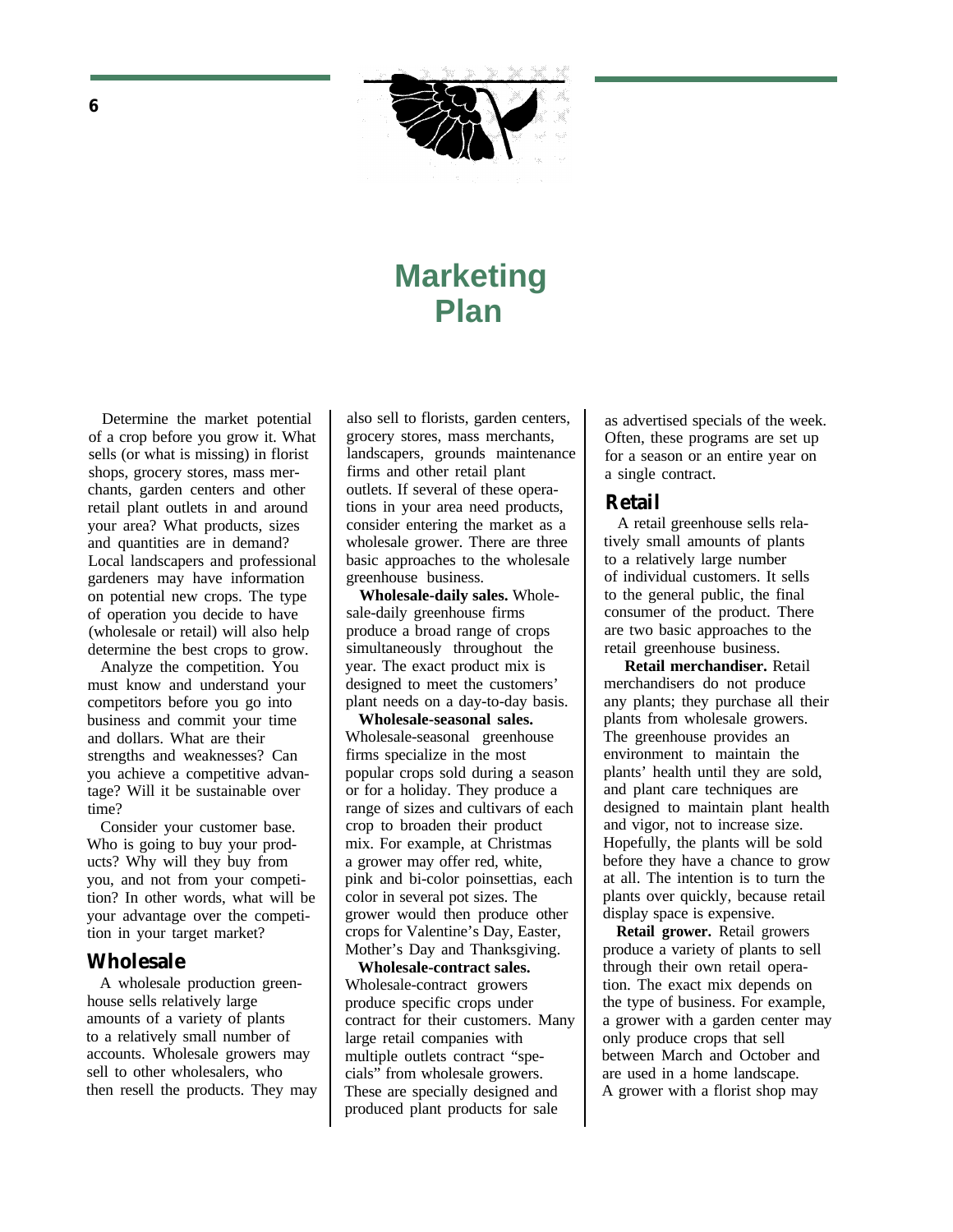

# **Marketing Plan**

Determine the market potential of a crop before you grow it. What sells (or what is missing) in florist shops, grocery stores, mass merchants, garden centers and other retail plant outlets in and around your area? What products, sizes and quantities are in demand? Local landscapers and professional gardeners may have information on potential new crops. The type of operation you decide to have (wholesale or retail) will also help determine the best crops to grow.

Analyze the competition. You must know and understand your competitors before you go into business and commit your time and dollars. What are their strengths and weaknesses? Can you achieve a competitive advantage? Will it be sustainable over time?

Consider your customer base. Who is going to buy your products? Why will they buy from you, and not from your competition? In other words, what will be your advantage over the competition in your target market?

### **Wholesale**

A wholesale production greenhouse sells relatively large amounts of a variety of plants to a relatively small number of accounts. Wholesale growers may sell to other wholesalers, who then resell the products. They may also sell to florists, garden centers, grocery stores, mass merchants, landscapers, grounds maintenance firms and other retail plant outlets. If several of these operations in your area need products, consider entering the market as a wholesale grower. There are three basic approaches to the wholesale greenhouse business.

**Wholesale-daily sales.** Wholesale-daily greenhouse firms produce a broad range of crops simultaneously throughout the year. The exact product mix is designed to meet the customers' plant needs on a day-to-day basis.

**Wholesale-seasonal sales.** Wholesale-seasonal greenhouse firms specialize in the most popular crops sold during a season or for a holiday. They produce a range of sizes and cultivars of each crop to broaden their product mix. For example, at Christmas a grower may offer red, white, pink and bi-color poinsettias, each color in several pot sizes. The grower would then produce other crops for Valentine's Day, Easter, Mother's Day and Thanksgiving.

**Wholesale-contract sales.** Wholesale-contract growers produce specific crops under contract for their customers. Many large retail companies with multiple outlets contract "specials" from wholesale growers. These are specially designed and produced plant products for sale

as advertised specials of the week. Often, these programs are set up for a season or an entire year on a single contract.

### **Retail**

A retail greenhouse sells relatively small amounts of plants to a relatively large number of individual customers. It sells to the general public, the final consumer of the product. There are two basic approaches to the retail greenhouse business.

**Retail merchandiser.** Retail merchandisers do not produce any plants; they purchase all their plants from wholesale growers. The greenhouse provides an environment to maintain the plants' health until they are sold, and plant care techniques are designed to maintain plant health and vigor, not to increase size. Hopefully, the plants will be sold before they have a chance to grow at all. The intention is to turn the plants over quickly, because retail display space is expensive.

**Retail grower.** Retail growers produce a variety of plants to sell through their own retail operation. The exact mix depends on the type of business. For example, a grower with a garden center may only produce crops that sell between March and October and are used in a home landscape. A grower with a florist shop may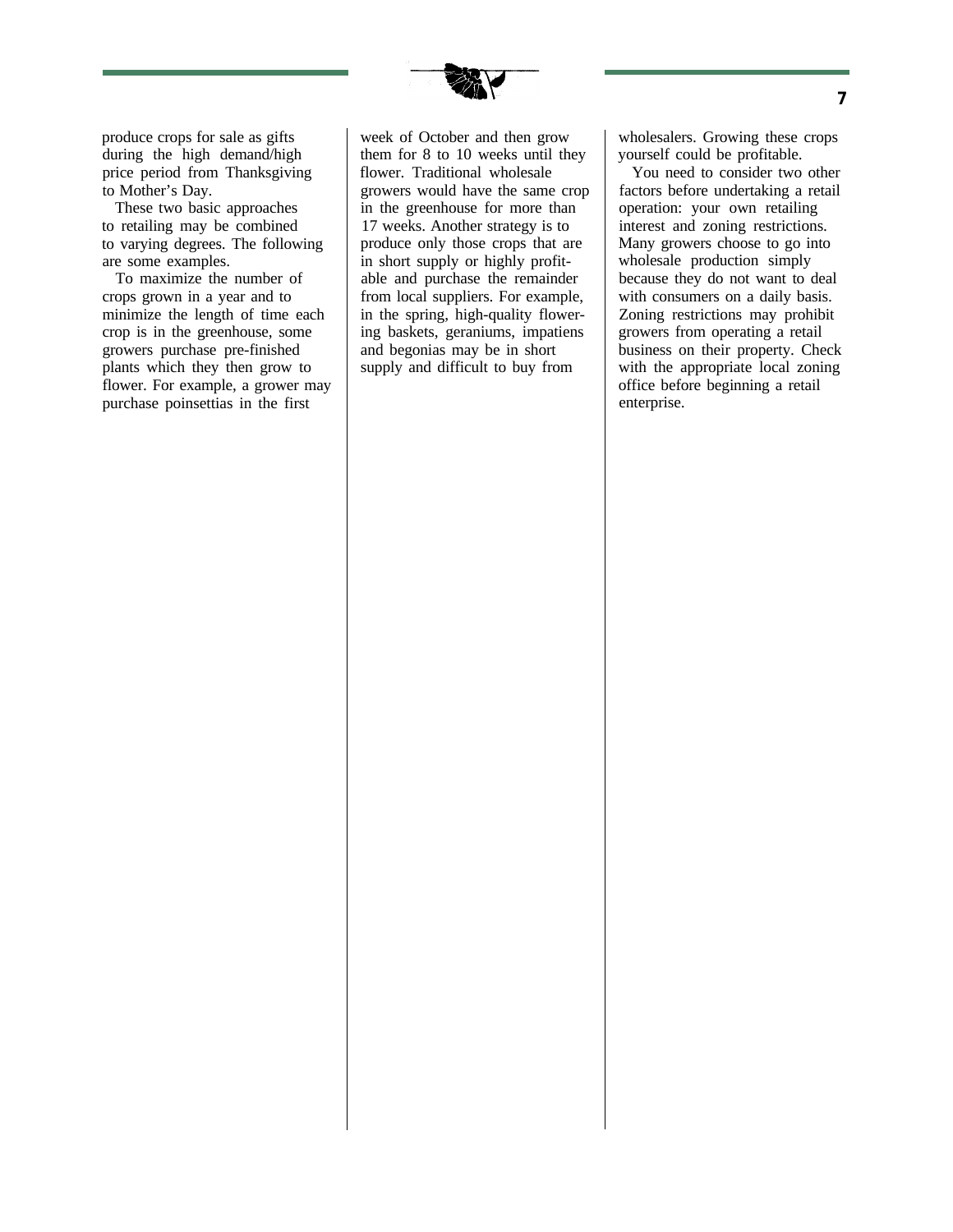

produce crops for sale as gifts during the high demand/high price period from Thanksgiving to Mother's Day.

These two basic approaches to retailing may be combined to varying degrees. The following are some examples.

To maximize the number of crops grown in a year and to minimize the length of time each crop is in the greenhouse, some growers purchase pre-finished plants which they then grow to flower. For example, a grower may purchase poinsettias in the first

week of October and then grow them for 8 to 10 weeks until they flower. Traditional wholesale growers would have the same crop in the greenhouse for more than 17 weeks. Another strategy is to produce only those crops that are in short supply or highly profitable and purchase the remainder from local suppliers. For example, in the spring, high-quality flowering baskets, geraniums, impatiens and begonias may be in short supply and difficult to buy from

wholesalers. Growing these crops yourself could be profitable.

You need to consider two other factors before undertaking a retail operation: your own retailing interest and zoning restrictions. Many growers choose to go into wholesale production simply because they do not want to deal with consumers on a daily basis. Zoning restrictions may prohibit growers from operating a retail business on their property. Check with the appropriate local zoning office before beginning a retail enterprise.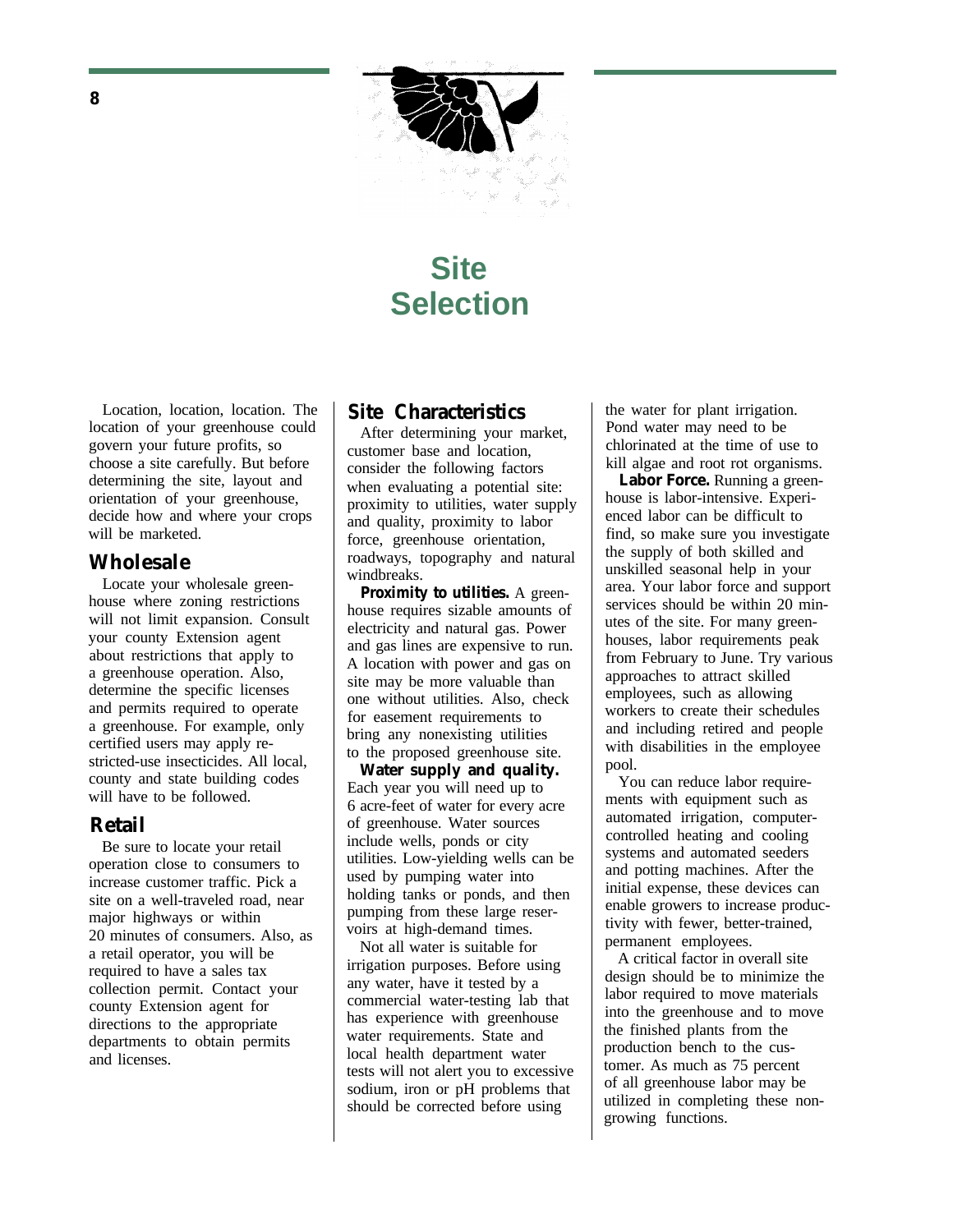

# **Site Selection**

Location, location, location. The location of your greenhouse could govern your future profits, so choose a site carefully. But before determining the site, layout and orientation of your greenhouse, decide how and where your crops will be marketed.

### **Wholesale**

Locate your wholesale greenhouse where zoning restrictions will not limit expansion. Consult your county Extension agent about restrictions that apply to a greenhouse operation. Also, determine the specific licenses and permits required to operate a greenhouse. For example, only certified users may apply restricted-use insecticides. All local, county and state building codes will have to be followed.

#### **Retail**

Be sure to locate your retail operation close to consumers to increase customer traffic. Pick a site on a well-traveled road, near major highways or within 20 minutes of consumers. Also, as a retail operator, you will be required to have a sales tax collection permit. Contact your county Extension agent for directions to the appropriate departments to obtain permits and licenses.

### **Site Characteristics**

After determining your market, customer base and location, consider the following factors when evaluating a potential site: proximity to utilities, water supply and quality, proximity to labor force, greenhouse orientation, roadways, topography and natural windbreaks.

**Proximity to utilities.** A greenhouse requires sizable amounts of electricity and natural gas. Power and gas lines are expensive to run. A location with power and gas on site may be more valuable than one without utilities. Also, check for easement requirements to bring any nonexisting utilities to the proposed greenhouse site.

**Water supply and quality.** Each year you will need up to 6 acre-feet of water for every acre of greenhouse. Water sources include wells, ponds or city utilities. Low-yielding wells can be used by pumping water into holding tanks or ponds, and then pumping from these large reservoirs at high-demand times.

Not all water is suitable for irrigation purposes. Before using any water, have it tested by a commercial water-testing lab that has experience with greenhouse water requirements. State and local health department water tests will not alert you to excessive sodium, iron or pH problems that should be corrected before using

the water for plant irrigation. Pond water may need to be chlorinated at the time of use to kill algae and root rot organisms.

**Labor Force.** Running a greenhouse is labor-intensive. Experienced labor can be difficult to find, so make sure you investigate the supply of both skilled and unskilled seasonal help in your area. Your labor force and support services should be within 20 minutes of the site. For many greenhouses, labor requirements peak from February to June. Try various approaches to attract skilled employees, such as allowing workers to create their schedules and including retired and people with disabilities in the employee pool.

You can reduce labor requirements with equipment such as automated irrigation, computercontrolled heating and cooling systems and automated seeders and potting machines. After the initial expense, these devices can enable growers to increase productivity with fewer, better-trained, permanent employees.

A critical factor in overall site design should be to minimize the labor required to move materials into the greenhouse and to move the finished plants from the production bench to the customer. As much as 75 percent of all greenhouse labor may be utilized in completing these nongrowing functions.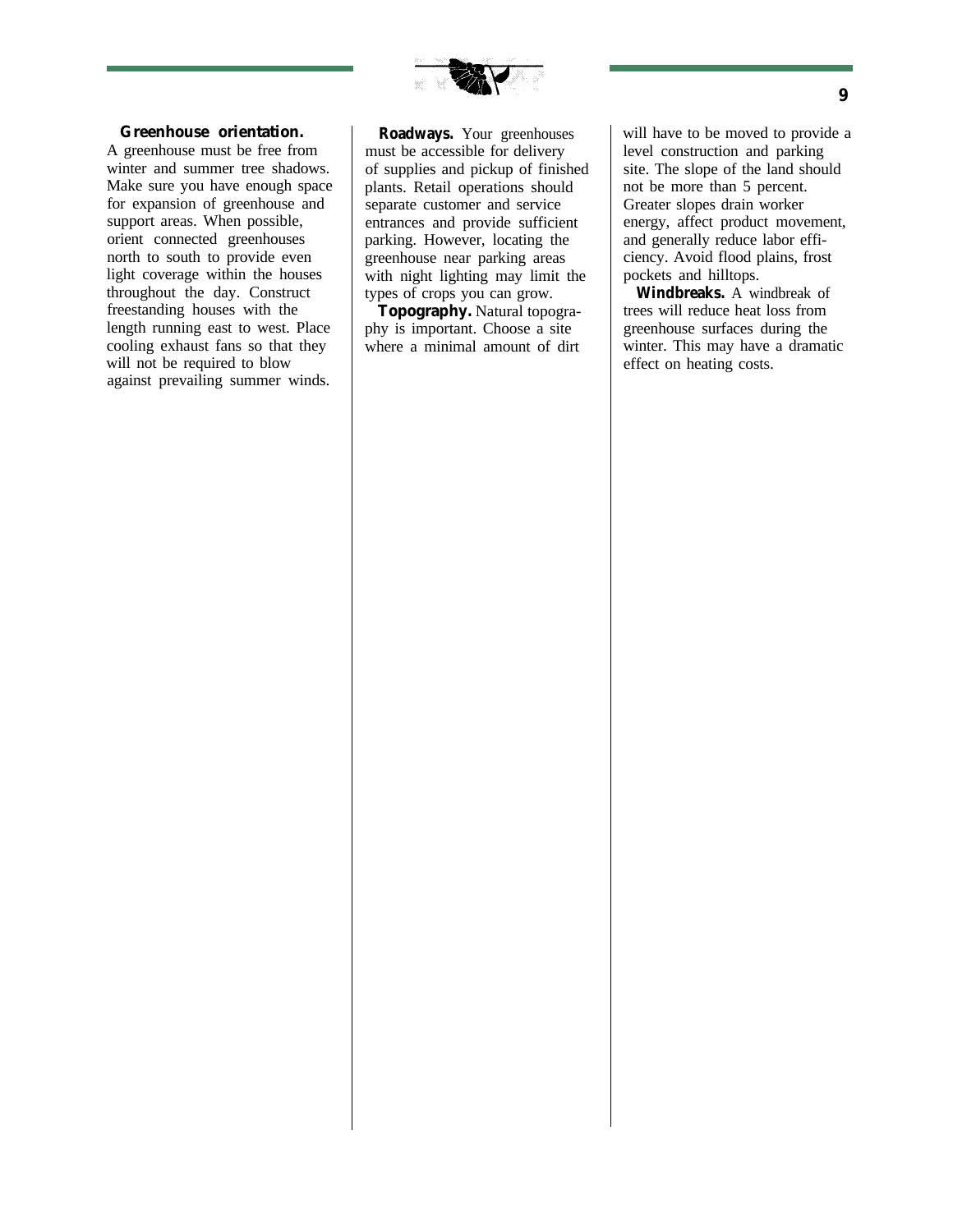

#### **Greenhouse orientation.**

A greenhouse must be free from winter and summer tree shadows. Make sure you have enough space for expansion of greenhouse and support areas. When possible, orient connected greenhouses north to south to provide even light coverage within the houses throughout the day. Construct freestanding houses with the length running east to west. Place cooling exhaust fans so that they will not be required to blow against prevailing summer winds.

**Roadways.** Your greenhouses must be accessible for delivery of supplies and pickup of finished plants. Retail operations should separate customer and service entrances and provide sufficient parking. However, locating the greenhouse near parking areas with night lighting may limit the types of crops you can grow.

**Topography.** Natural topography is important. Choose a site where a minimal amount of dirt will have to be moved to provide a level construction and parking site. The slope of the land should not be more than 5 percent. Greater slopes drain worker energy, affect product movement, and generally reduce labor efficiency. Avoid flood plains, frost pockets and hilltops.

**Windbreaks.** A windbreak of trees will reduce heat loss from greenhouse surfaces during the winter. This may have a dramatic effect on heating costs.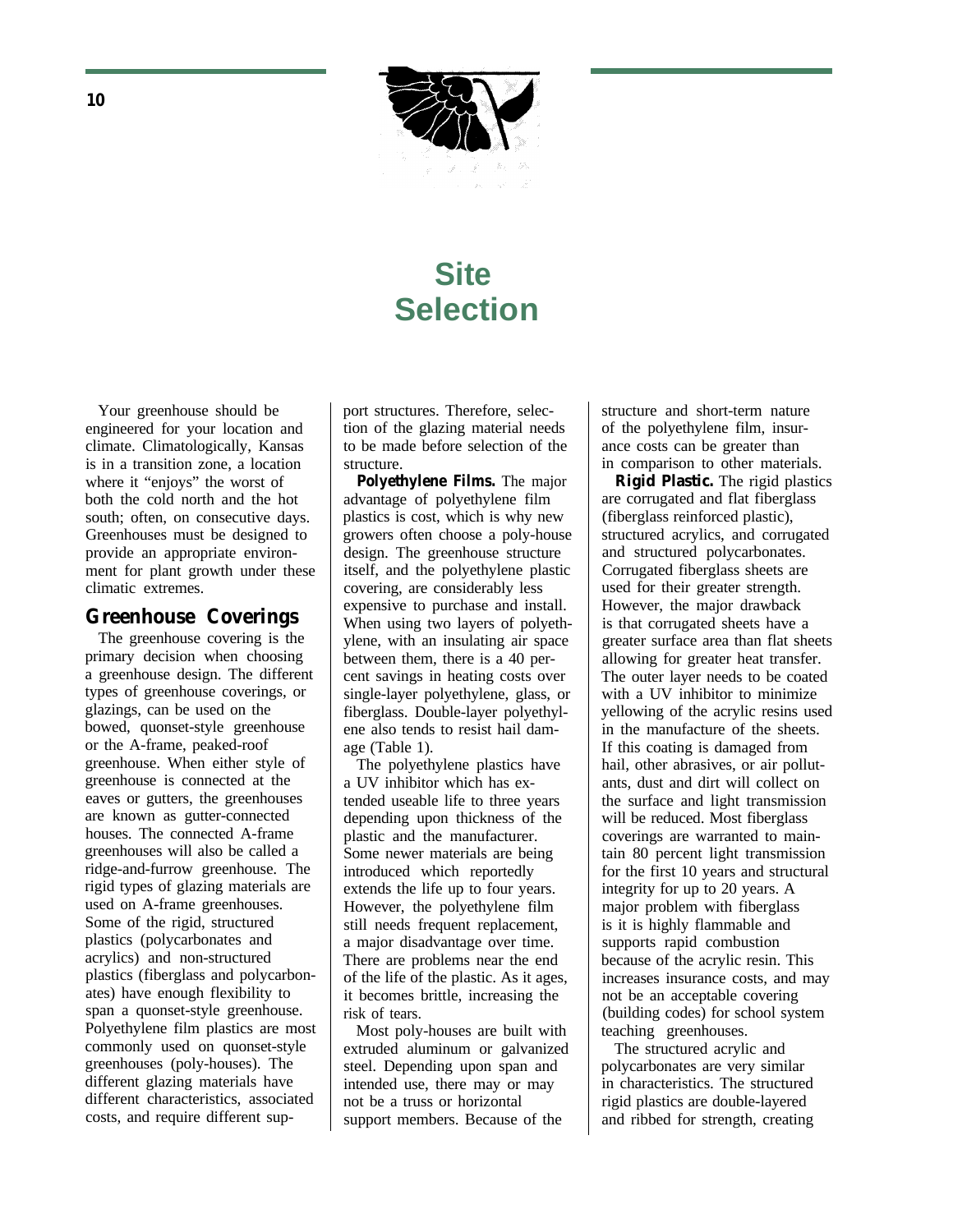

# **Site Selection**

Your greenhouse should be engineered for your location and climate. Climatologically, Kansas is in a transition zone, a location where it "enjoys" the worst of both the cold north and the hot south; often, on consecutive days. Greenhouses must be designed to provide an appropriate environment for plant growth under these climatic extremes.

### **Greenhouse Coverings**

The greenhouse covering is the primary decision when choosing a greenhouse design. The different types of greenhouse coverings, or glazings, can be used on the bowed, quonset-style greenhouse or the A-frame, peaked-roof greenhouse. When either style of greenhouse is connected at the eaves or gutters, the greenhouses are known as gutter-connected houses. The connected A-frame greenhouses will also be called a ridge-and-furrow greenhouse. The rigid types of glazing materials are used on A-frame greenhouses. Some of the rigid, structured plastics (polycarbonates and acrylics) and non-structured plastics (fiberglass and polycarbonates) have enough flexibility to span a quonset-style greenhouse. Polyethylene film plastics are most commonly used on quonset-style greenhouses (poly-houses). The different glazing materials have different characteristics, associated costs, and require different support structures. Therefore, selection of the glazing material needs to be made before selection of the structure.

**Polyethylene Films.** The major advantage of polyethylene film plastics is cost, which is why new growers often choose a poly-house design. The greenhouse structure itself, and the polyethylene plastic covering, are considerably less expensive to purchase and install. When using two layers of polyethylene, with an insulating air space between them, there is a 40 percent savings in heating costs over single-layer polyethylene, glass, or fiberglass. Double-layer polyethylene also tends to resist hail damage (Table 1).

The polyethylene plastics have a UV inhibitor which has extended useable life to three years depending upon thickness of the plastic and the manufacturer. Some newer materials are being introduced which reportedly extends the life up to four years. However, the polyethylene film still needs frequent replacement, a major disadvantage over time. There are problems near the end of the life of the plastic. As it ages, it becomes brittle, increasing the risk of tears.

Most poly-houses are built with extruded aluminum or galvanized steel. Depending upon span and intended use, there may or may not be a truss or horizontal support members. Because of the

structure and short-term nature of the polyethylene film, insurance costs can be greater than in comparison to other materials.

**Rigid Plastic.** The rigid plastics are corrugated and flat fiberglass (fiberglass reinforced plastic), structured acrylics, and corrugated and structured polycarbonates. Corrugated fiberglass sheets are used for their greater strength. However, the major drawback is that corrugated sheets have a greater surface area than flat sheets allowing for greater heat transfer. The outer layer needs to be coated with a UV inhibitor to minimize yellowing of the acrylic resins used in the manufacture of the sheets. If this coating is damaged from hail, other abrasives, or air pollutants, dust and dirt will collect on the surface and light transmission will be reduced. Most fiberglass coverings are warranted to maintain 80 percent light transmission for the first 10 years and structural integrity for up to 20 years. A major problem with fiberglass is it is highly flammable and supports rapid combustion because of the acrylic resin. This increases insurance costs, and may not be an acceptable covering (building codes) for school system teaching greenhouses.

The structured acrylic and polycarbonates are very similar in characteristics. The structured rigid plastics are double-layered and ribbed for strength, creating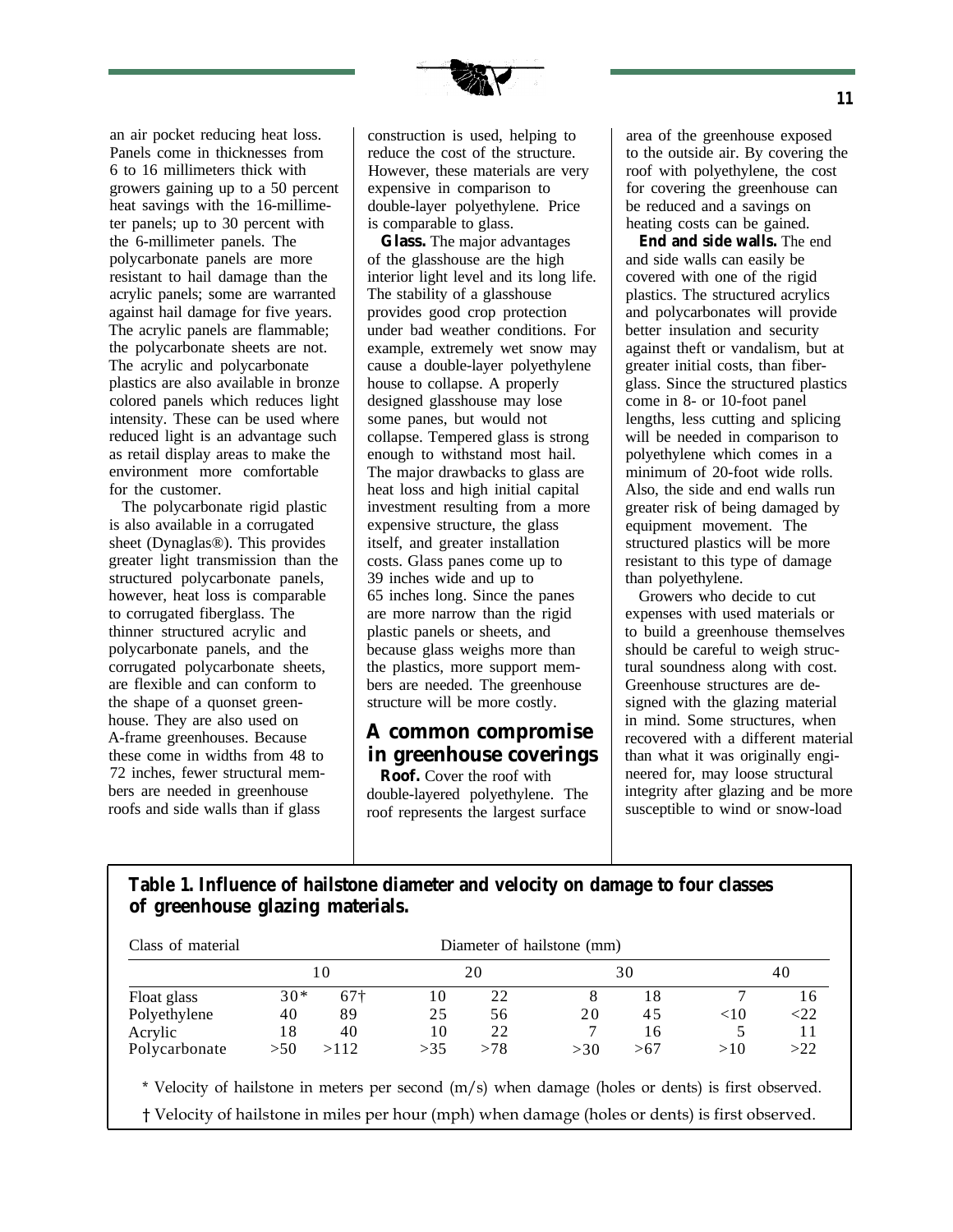

an air pocket reducing heat loss. Panels come in thicknesses from 6 to 16 millimeters thick with growers gaining up to a 50 percent heat savings with the 16-millimeter panels; up to 30 percent with the 6-millimeter panels. The polycarbonate panels are more resistant to hail damage than the acrylic panels; some are warranted against hail damage for five years. The acrylic panels are flammable; the polycarbonate sheets are not. The acrylic and polycarbonate plastics are also available in bronze colored panels which reduces light intensity. These can be used where reduced light is an advantage such as retail display areas to make the environment more comfortable for the customer.

The polycarbonate rigid plastic is also available in a corrugated sheet (Dynaglas®). This provides greater light transmission than the structured polycarbonate panels, however, heat loss is comparable to corrugated fiberglass. The thinner structured acrylic and polycarbonate panels, and the corrugated polycarbonate sheets, are flexible and can conform to the shape of a quonset greenhouse. They are also used on A-frame greenhouses. Because these come in widths from 48 to 72 inches, fewer structural members are needed in greenhouse roofs and side walls than if glass

construction is used, helping to reduce the cost of the structure. However, these materials are very expensive in comparison to double-layer polyethylene. Price is comparable to glass.

**Glass.** The major advantages of the glasshouse are the high interior light level and its long life. The stability of a glasshouse provides good crop protection under bad weather conditions. For example, extremely wet snow may cause a double-layer polyethylene house to collapse. A properly designed glasshouse may lose some panes, but would not collapse. Tempered glass is strong enough to withstand most hail. The major drawbacks to glass are heat loss and high initial capital investment resulting from a more expensive structure, the glass itself, and greater installation costs. Glass panes come up to 39 inches wide and up to 65 inches long. Since the panes are more narrow than the rigid plastic panels or sheets, and because glass weighs more than the plastics, more support members are needed. The greenhouse structure will be more costly.

### **A common compromise in greenhouse coverings**

**Roof.** Cover the roof with double-layered polyethylene. The roof represents the largest surface

area of the greenhouse exposed to the outside air. By covering the roof with polyethylene, the cost for covering the greenhouse can be reduced and a savings on heating costs can be gained.

**End and side walls.** The end and side walls can easily be covered with one of the rigid plastics. The structured acrylics and polycarbonates will provide better insulation and security against theft or vandalism, but at greater initial costs, than fiberglass. Since the structured plastics come in 8- or 10-foot panel lengths, less cutting and splicing will be needed in comparison to polyethylene which comes in a minimum of 20-foot wide rolls. Also, the side and end walls run greater risk of being damaged by equipment movement. The structured plastics will be more resistant to this type of damage than polyethylene.

Growers who decide to cut expenses with used materials or to build a greenhouse themselves should be careful to weigh structural soundness along with cost. Greenhouse structures are designed with the glazing material in mind. Some structures, when recovered with a different material than what it was originally engineered for, may loose structural integrity after glazing and be more susceptible to wind or snow-load

## **Table 1. Influence of hailstone diameter and velocity on damage to four classes of greenhouse glazing materials.**

| Class of material                                                                                  | Diameter of hailstone (mm) |             |     |     |     |     |     |     |
|----------------------------------------------------------------------------------------------------|----------------------------|-------------|-----|-----|-----|-----|-----|-----|
|                                                                                                    | 10                         |             | 20  |     | 30  |     | 40  |     |
| Float glass                                                                                        | $30*$                      | $67\dagger$ | 10  | 22  | 8   | 18  | 7   | 16  |
| Polyethylene                                                                                       | 40                         | 89          | 25  | 56  | 20  | 45  | <10 | <22 |
| Acrylic                                                                                            | 18                         | 40          | 10  | 22  |     | 16  | 5   | 11  |
| Polycarbonate                                                                                      | >50                        | >112        | >35 | >78 | >30 | >67 | >10 | >22 |
| * Velocity of hailstone in meters per second (m/s) when damage (holes or dents) is first observed. |                            |             |     |     |     |     |     |     |
| † Velocity of hailstone in miles per hour (mph) when damage (holes or dents) is first observed.    |                            |             |     |     |     |     |     |     |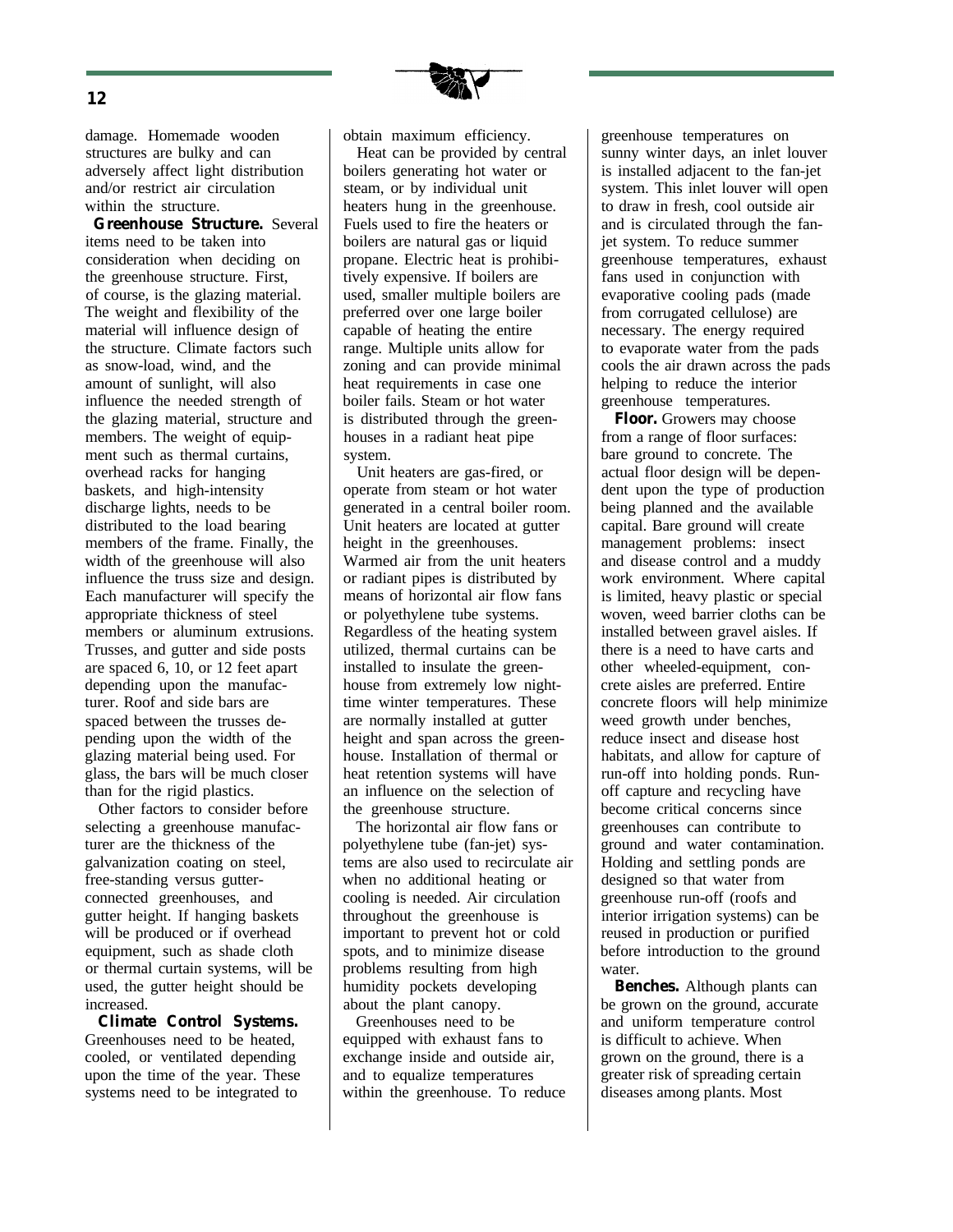

damage. Homemade wooden structures are bulky and can adversely affect light distribution and/or restrict air circulation within the structure.

**Greenhouse Structure.** Several items need to be taken into consideration when deciding on the greenhouse structure. First, of course, is the glazing material. The weight and flexibility of the material will influence design of the structure. Climate factors such as snow-load, wind, and the amount of sunlight, will also influence the needed strength of the glazing material, structure and members. The weight of equipment such as thermal curtains, overhead racks for hanging baskets, and high-intensity discharge lights, needs to be distributed to the load bearing members of the frame. Finally, the width of the greenhouse will also influence the truss size and design. Each manufacturer will specify the appropriate thickness of steel members or aluminum extrusions. Trusses, and gutter and side posts are spaced 6, 10, or 12 feet apart depending upon the manufacturer. Roof and side bars are spaced between the trusses depending upon the width of the glazing material being used. For glass, the bars will be much closer than for the rigid plastics.

Other factors to consider before selecting a greenhouse manufacturer are the thickness of the galvanization coating on steel, free-standing versus gutterconnected greenhouses, and gutter height. If hanging baskets will be produced or if overhead equipment, such as shade cloth or thermal curtain systems, will be used, the gutter height should be increased.

**Climate Control Systems.** Greenhouses need to be heated, cooled, or ventilated depending upon the time of the year. These systems need to be integrated to

obtain maximum efficiency.

Heat can be provided by central boilers generating hot water or steam, or by individual unit heaters hung in the greenhouse. Fuels used to fire the heaters or boilers are natural gas or liquid propane. Electric heat is prohibitively expensive. If boilers are used, smaller multiple boilers are preferred over one large boiler capable of heating the entire range. Multiple units allow for zoning and can provide minimal heat requirements in case one boiler fails. Steam or hot water is distributed through the greenhouses in a radiant heat pipe system.

Unit heaters are gas-fired, or operate from steam or hot water generated in a central boiler room. Unit heaters are located at gutter height in the greenhouses. Warmed air from the unit heaters or radiant pipes is distributed by means of horizontal air flow fans or polyethylene tube systems. Regardless of the heating system utilized, thermal curtains can be installed to insulate the greenhouse from extremely low nighttime winter temperatures. These are normally installed at gutter height and span across the greenhouse. Installation of thermal or heat retention systems will have an influence on the selection of the greenhouse structure.

The horizontal air flow fans or polyethylene tube (fan-jet) systems are also used to recirculate air when no additional heating or cooling is needed. Air circulation throughout the greenhouse is important to prevent hot or cold spots, and to minimize disease problems resulting from high humidity pockets developing about the plant canopy.

Greenhouses need to be equipped with exhaust fans to exchange inside and outside air, and to equalize temperatures within the greenhouse. To reduce greenhouse temperatures on sunny winter days, an inlet louver is installed adjacent to the fan-jet system. This inlet louver will open to draw in fresh, cool outside air and is circulated through the fanjet system. To reduce summer greenhouse temperatures, exhaust fans used in conjunction with evaporative cooling pads (made from corrugated cellulose) are necessary. The energy required to evaporate water from the pads cools the air drawn across the pads helping to reduce the interior greenhouse temperatures.

**Floor.** Growers may choose from a range of floor surfaces: bare ground to concrete. The actual floor design will be dependent upon the type of production being planned and the available capital. Bare ground will create management problems: insect and disease control and a muddy work environment. Where capital is limited, heavy plastic or special woven, weed barrier cloths can be installed between gravel aisles. If there is a need to have carts and other wheeled-equipment, concrete aisles are preferred. Entire concrete floors will help minimize weed growth under benches, reduce insect and disease host habitats, and allow for capture of run-off into holding ponds. Runoff capture and recycling have become critical concerns since greenhouses can contribute to ground and water contamination. Holding and settling ponds are designed so that water from greenhouse run-off (roofs and interior irrigation systems) can be reused in production or purified before introduction to the ground water.

**Benches.** Although plants can be grown on the ground, accurate and uniform temperature control is difficult to achieve. When grown on the ground, there is a greater risk of spreading certain diseases among plants. Most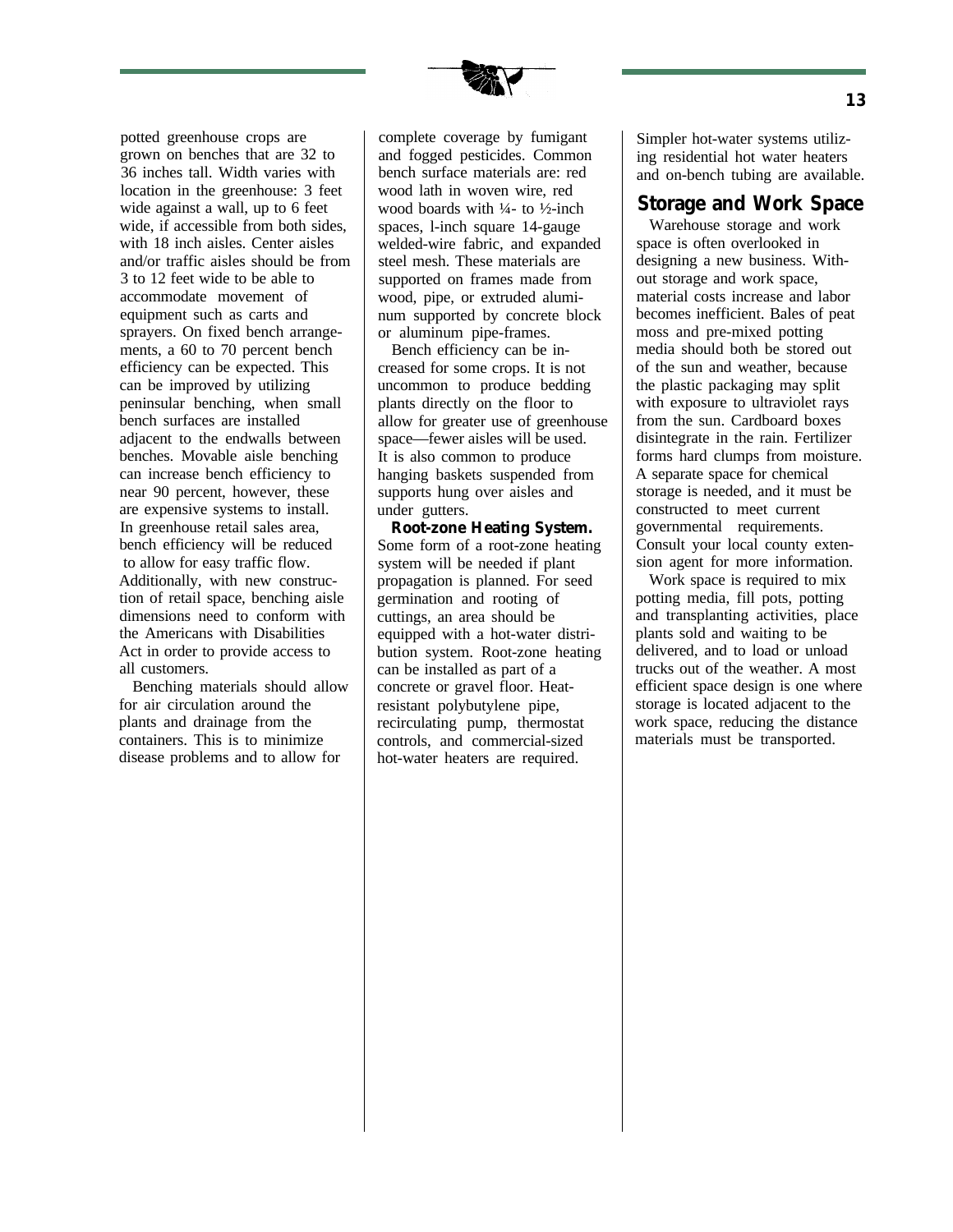

potted greenhouse crops are grown on benches that are 32 to 36 inches tall. Width varies with location in the greenhouse: 3 feet wide against a wall, up to 6 feet wide, if accessible from both sides, with 18 inch aisles. Center aisles and/or traffic aisles should be from 3 to 12 feet wide to be able to accommodate movement of equipment such as carts and sprayers. On fixed bench arrangements, a 60 to 70 percent bench efficiency can be expected. This can be improved by utilizing peninsular benching, when small bench surfaces are installed adjacent to the endwalls between benches. Movable aisle benching can increase bench efficiency to near 90 percent, however, these are expensive systems to install. In greenhouse retail sales area, bench efficiency will be reduced to allow for easy traffic flow. Additionally, with new construction of retail space, benching aisle dimensions need to conform with the Americans with Disabilities Act in order to provide access to all customers.

Benching materials should allow for air circulation around the plants and drainage from the containers. This is to minimize disease problems and to allow for

complete coverage by fumigant and fogged pesticides. Common bench surface materials are: red wood lath in woven wire, red wood boards with  $\frac{1}{4}$ - to  $\frac{1}{2}$ -inch spaces, l-inch square 14-gauge welded-wire fabric, and expanded steel mesh. These materials are supported on frames made from wood, pipe, or extruded aluminum supported by concrete block or aluminum pipe-frames.

Bench efficiency can be increased for some crops. It is not uncommon to produce bedding plants directly on the floor to allow for greater use of greenhouse space—fewer aisles will be used. It is also common to produce hanging baskets suspended from supports hung over aisles and under gutters.

**Root-zone Heating System.** Some form of a root-zone heating system will be needed if plant propagation is planned. For seed germination and rooting of cuttings, an area should be equipped with a hot-water distribution system. Root-zone heating can be installed as part of a concrete or gravel floor. Heatresistant polybutylene pipe, recirculating pump, thermostat controls, and commercial-sized hot-water heaters are required.

Simpler hot-water systems utilizing residential hot water heaters and on-bench tubing are available.

### **Storage and Work Space**

Warehouse storage and work space is often overlooked in designing a new business. Without storage and work space, material costs increase and labor becomes inefficient. Bales of peat moss and pre-mixed potting media should both be stored out of the sun and weather, because the plastic packaging may split with exposure to ultraviolet rays from the sun. Cardboard boxes disintegrate in the rain. Fertilizer forms hard clumps from moisture. A separate space for chemical storage is needed, and it must be constructed to meet current governmental requirements. Consult your local county extension agent for more information.

Work space is required to mix potting media, fill pots, potting and transplanting activities, place plants sold and waiting to be delivered, and to load or unload trucks out of the weather. A most efficient space design is one where storage is located adjacent to the work space, reducing the distance materials must be transported.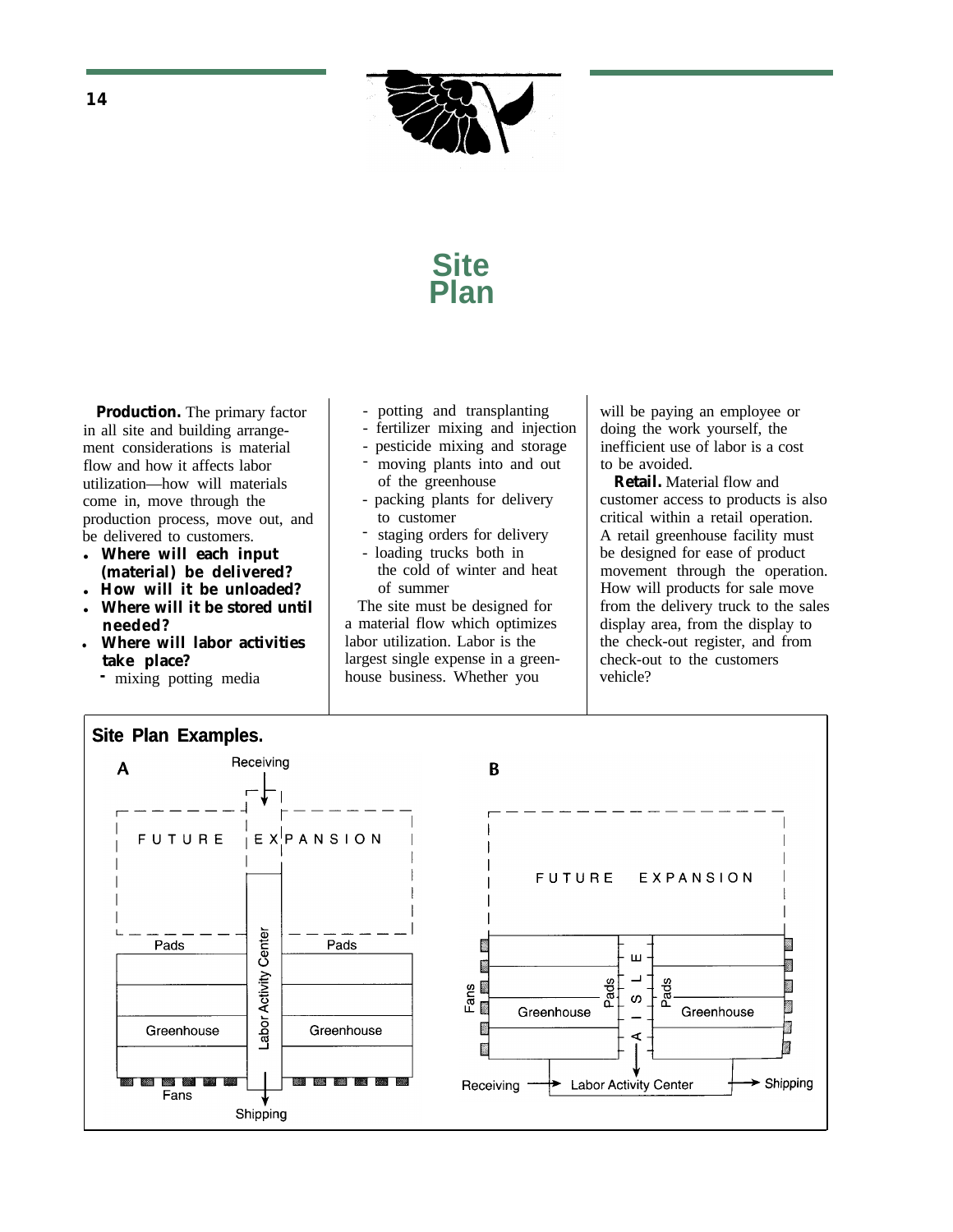

# **Site Plan**

**Production.** The primary factor - potting and transplanting will be paying an employee or in all site and building arrange-<br>- fertilizer mixing and injection doing the work yourself, the ment considerations is material - pesticide mixing and storage inefficient use<br>flow and how it affects labor is a cost is a cost is a cost is a cost is a cost is a cost is a cost is a cost is a cost is a cost is a cost is flow and how it affects labor and contract into and out to be avoided.<br>
Interval of the greenhouse and contract to be avoided.<br>
Retail. Material flow and utilization—how will materials of the greenhouse **Retail.** Material flow and come in, move through the  $\begin{array}{|l|l|} \hline \end{array}$  - packing plants for delivery customer access to products is also production process, move out, and to customer customer critical within a retail operation. production process, move out, and to customer<br>be delivered to customers. The retail operation of the retail operation.

- 
- 
- **Where will labor activities** 
	- **take place?**
	- **-** mixing potting media
- 
- 
- 
- 
- 
- 
- 

largest single expense in a greenhouse business. Whether you

- fertilizer mixing and injection doing the work yourself, the - pesticide mixing and storage inefficient use of labor is a cost

be delivered to customers.<br>
• staging orders for delivery A retail greenhouse facility must<br>
• loading trucks both in<br>
be designed for ease of product • Where will each input - loading trucks both in be designed for ease of product (material) be delivered? the cold of winter and heat movement through the operation (material) be delivered?<br> **(material)** the cold of winter and heat movement through the operation.<br> **(Material)** How will products for sale move **How will it be unloaded?** of summer<br> **EXECUTE:** How will products for sale move<br> **EXECUTE:** The site must be designed for<br> **EXECUTE:** How will products for sale move<br>
from the delivery truck to the sal The site must be designed for from the delivery truck to the sales<br>a material flow which optimizes display area, from the display to **needed?** a material flow which optimizes display area, from the display to Where will labor activities and have unitation. Labor is the the check-out register, and from check-out to the customers vehicle?

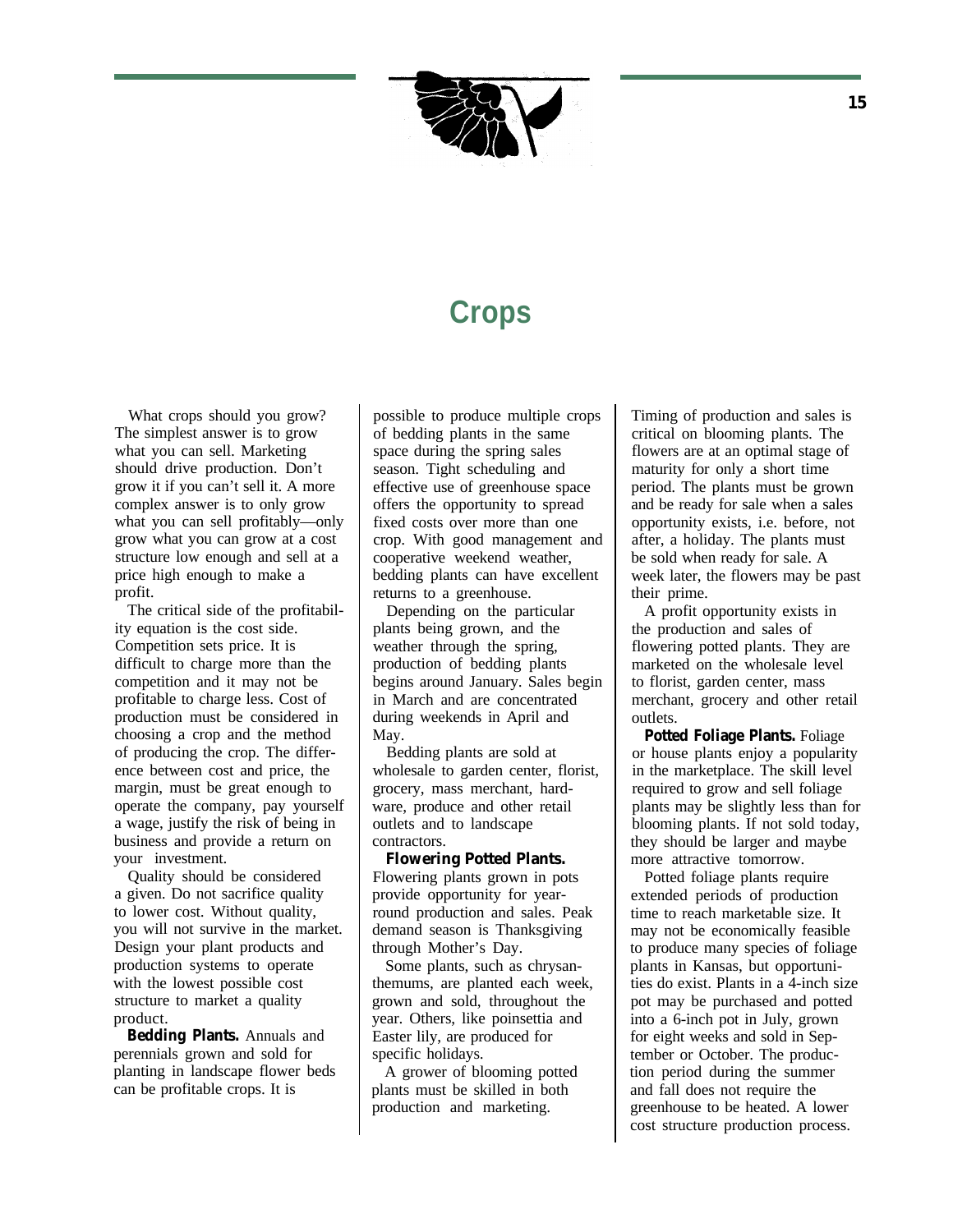

# **Crops**

What crops should you grow? The simplest answer is to grow what you can sell. Marketing should drive production. Don't grow it if you can't sell it. A more complex answer is to only grow what you can sell profitably—only grow what you can grow at a cost structure low enough and sell at a price high enough to make a profit.

The critical side of the profitability equation is the cost side. Competition sets price. It is difficult to charge more than the competition and it may not be profitable to charge less. Cost of production must be considered in choosing a crop and the method of producing the crop. The difference between cost and price, the margin, must be great enough to operate the company, pay yourself a wage, justify the risk of being in business and provide a return on your investment.

Quality should be considered a given. Do not sacrifice quality to lower cost. Without quality, you will not survive in the market. Design your plant products and production systems to operate with the lowest possible cost structure to market a quality product.

**Bedding Plants.** Annuals and perennials grown and sold for planting in landscape flower beds can be profitable crops. It is

possible to produce multiple crops of bedding plants in the same space during the spring sales season. Tight scheduling and effective use of greenhouse space offers the opportunity to spread fixed costs over more than one crop. With good management and cooperative weekend weather, bedding plants can have excellent returns to a greenhouse.

Depending on the particular plants being grown, and the weather through the spring, production of bedding plants begins around January. Sales begin in March and are concentrated during weekends in April and May.

Bedding plants are sold at wholesale to garden center, florist, grocery, mass merchant, hardware, produce and other retail outlets and to landscape contractors.

**Flowering Potted Plants.** Flowering plants grown in pots provide opportunity for yearround production and sales. Peak demand season is Thanksgiving through Mother's Day.

Some plants, such as chrysanthemums, are planted each week, grown and sold, throughout the year. Others, like poinsettia and Easter lily, are produced for specific holidays.

A grower of blooming potted plants must be skilled in both production and marketing.

Timing of production and sales is critical on blooming plants. The flowers are at an optimal stage of maturity for only a short time period. The plants must be grown and be ready for sale when a sales opportunity exists, i.e. before, not after, a holiday. The plants must be sold when ready for sale. A week later, the flowers may be past their prime.

A profit opportunity exists in the production and sales of flowering potted plants. They are marketed on the wholesale level to florist, garden center, mass merchant, grocery and other retail outlets.

**Potted Foliage Plants.** Foliage or house plants enjoy a popularity in the marketplace. The skill level required to grow and sell foliage plants may be slightly less than for blooming plants. If not sold today, they should be larger and maybe more attractive tomorrow.

Potted foliage plants require extended periods of production time to reach marketable size. It may not be economically feasible to produce many species of foliage plants in Kansas, but opportunities do exist. Plants in a 4-inch size pot may be purchased and potted into a 6-inch pot in July, grown for eight weeks and sold in September or October. The production period during the summer and fall does not require the greenhouse to be heated. A lower cost structure production process.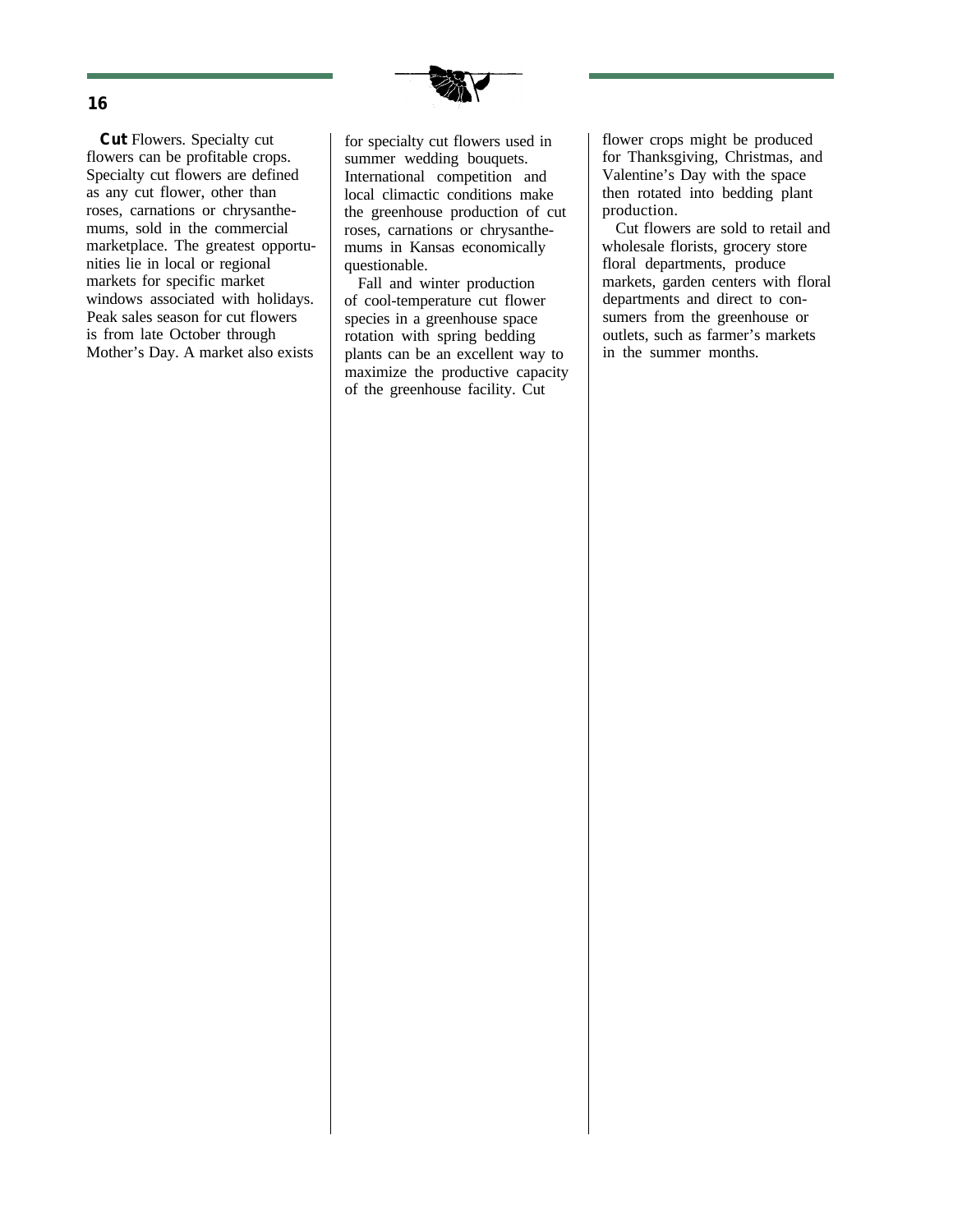

**Cut** Flowers. Specialty cut flowers can be profitable crops. Specialty cut flowers are defined as any cut flower, other than roses, carnations or chrysanthemums, sold in the commercial marketplace. The greatest opportunities lie in local or regional markets for specific market windows associated with holidays. Peak sales season for cut flowers is from late October through Mother's Day. A market also exists

for specialty cut flowers used in summer wedding bouquets. International competition and local climactic conditions make the greenhouse production of cut roses, carnations or chrysanthemums in Kansas economically questionable.

Fall and winter production of cool-temperature cut flower species in a greenhouse space rotation with spring bedding plants can be an excellent way to maximize the productive capacity of the greenhouse facility. Cut

flower crops might be produced for Thanksgiving, Christmas, and Valentine's Day with the space then rotated into bedding plant production.

Cut flowers are sold to retail and wholesale florists, grocery store floral departments, produce markets, garden centers with floral departments and direct to consumers from the greenhouse or outlets, such as farmer's markets in the summer months.

#### **16**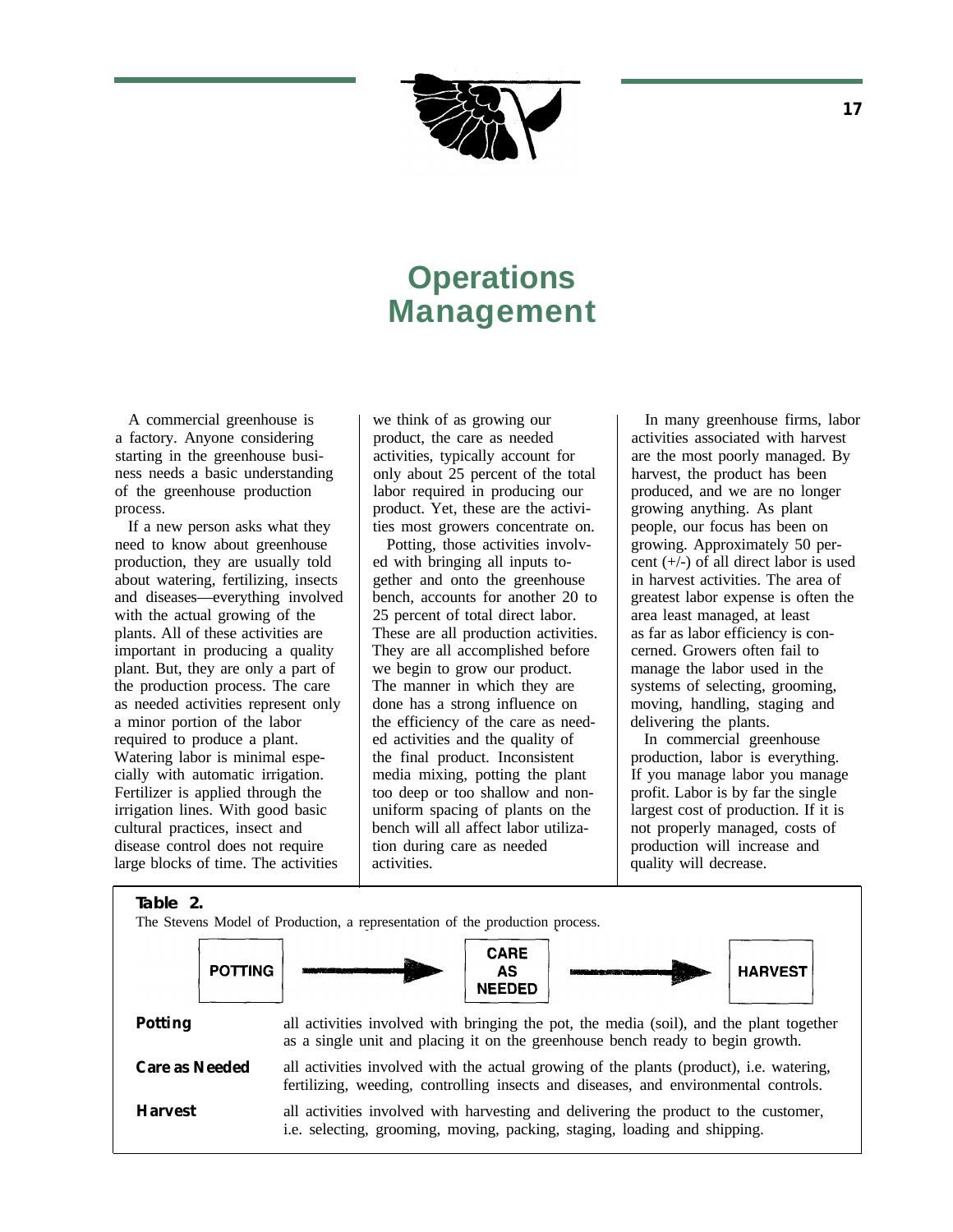

# **Operations Management**

A commercial greenhouse is a factory. Anyone considering starting in the greenhouse business needs a basic understanding of the greenhouse production process.

If a new person asks what they need to know about greenhouse production, they are usually told about watering, fertilizing, insects and diseases—everything involved with the actual growing of the plants. All of these activities are important in producing a quality plant. But, they are only a part of the production process. The care as needed activities represent only a minor portion of the labor required to produce a plant. Watering labor is minimal especially with automatic irrigation. Fertilizer is applied through the irrigation lines. With good basic cultural practices, insect and disease control does not require large blocks of time. The activities

we think of as growing our product, the care as needed activities, typically account for only about 25 percent of the total labor required in producing our product. Yet, these are the activities most growers concentrate on.

Potting, those activities involved with bringing all inputs together and onto the greenhouse bench, accounts for another 20 to 25 percent of total direct labor. These are all production activities. They are all accomplished before we begin to grow our product. The manner in which they are done has a strong influence on the efficiency of the care as needed activities and the quality of the final product. Inconsistent media mixing, potting the plant too deep or too shallow and nonuniform spacing of plants on the bench will all affect labor utilization during care as needed activities.

In many greenhouse firms, labor activities associated with harvest are the most poorly managed. By harvest, the product has been produced, and we are no longer growing anything. As plant people, our focus has been on growing. Approximately 50 percent (+/-) of all direct labor is used in harvest activities. The area of greatest labor expense is often the area least managed, at least as far as labor efficiency is concerned. Growers often fail to manage the labor used in the systems of selecting, grooming, moving, handling, staging and delivering the plants.

In commercial greenhouse production, labor is everything. If you manage labor you manage profit. Labor is by far the single largest cost of production. If it is not properly managed, costs of production will increase and quality will decrease.

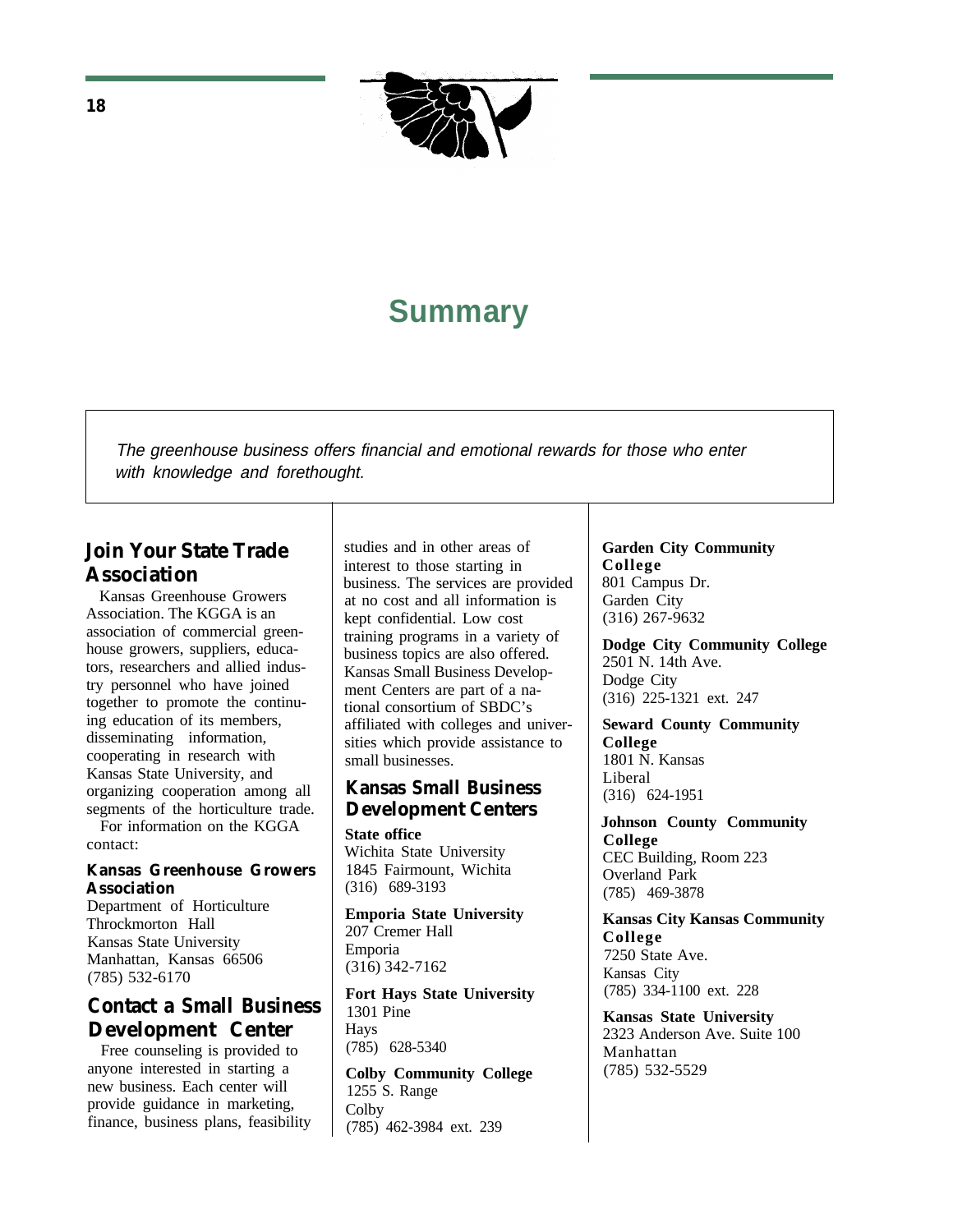

# **Summary**

The greenhouse business offers financial and emotional rewards for those who enter with knowledge and forethought.

# **Join Your State Trade Association**

Kansas Greenhouse Growers Association. The KGGA is an association of commercial greenhouse growers, suppliers, educators, researchers and allied industry personnel who have joined together to promote the continuing education of its members, disseminating information, cooperating in research with Kansas State University, and organizing cooperation among all segments of the horticulture trade. For information on the KGGA

contact:

#### **Kansas Greenhouse Growers Association**

Department of Horticulture Throckmorton Hall Kansas State University Manhattan, Kansas 66506 (785) 532-6170

# **Contact a Small Business Development Center**

Free counseling is provided to anyone interested in starting a new business. Each center will provide guidance in marketing, finance, business plans, feasibility studies and in other areas of interest to those starting in business. The services are provided at no cost and all information is kept confidential. Low cost training programs in a variety of business topics are also offered. Kansas Small Business Development Centers are part of a national consortium of SBDC's affiliated with colleges and universities which provide assistance to small businesses.

### **Kansas Small Business Development Centers**

**State office** Wichita State University 1845 Fairmount, Wichita (316) 689-3193

**Emporia State University** 207 Cremer Hall Emporia (316) 342-7162

**Fort Hays State University** 1301 Pine Hays (785) 628-5340

**Colby Community College** 1255 S. Range **Colby** (785) 462-3984 ext. 239

**Garden City Community College** 801 Campus Dr. Garden City (316) 267-9632

**Dodge City Community College** 2501 N. 14th Ave. Dodge City (316) 225-1321 ext. 247

**Seward County Community College** 1801 N. Kansas Liberal (316) 624-1951

**Johnson County Community College** CEC Building, Room 223 Overland Park (785) 469-3878

**Kansas City Kansas Community College** 7250 State Ave. Kansas City (785) 334-1100 ext. 228

**Kansas State University** 2323 Anderson Ave. Suite 100 Manhattan (785) 532-5529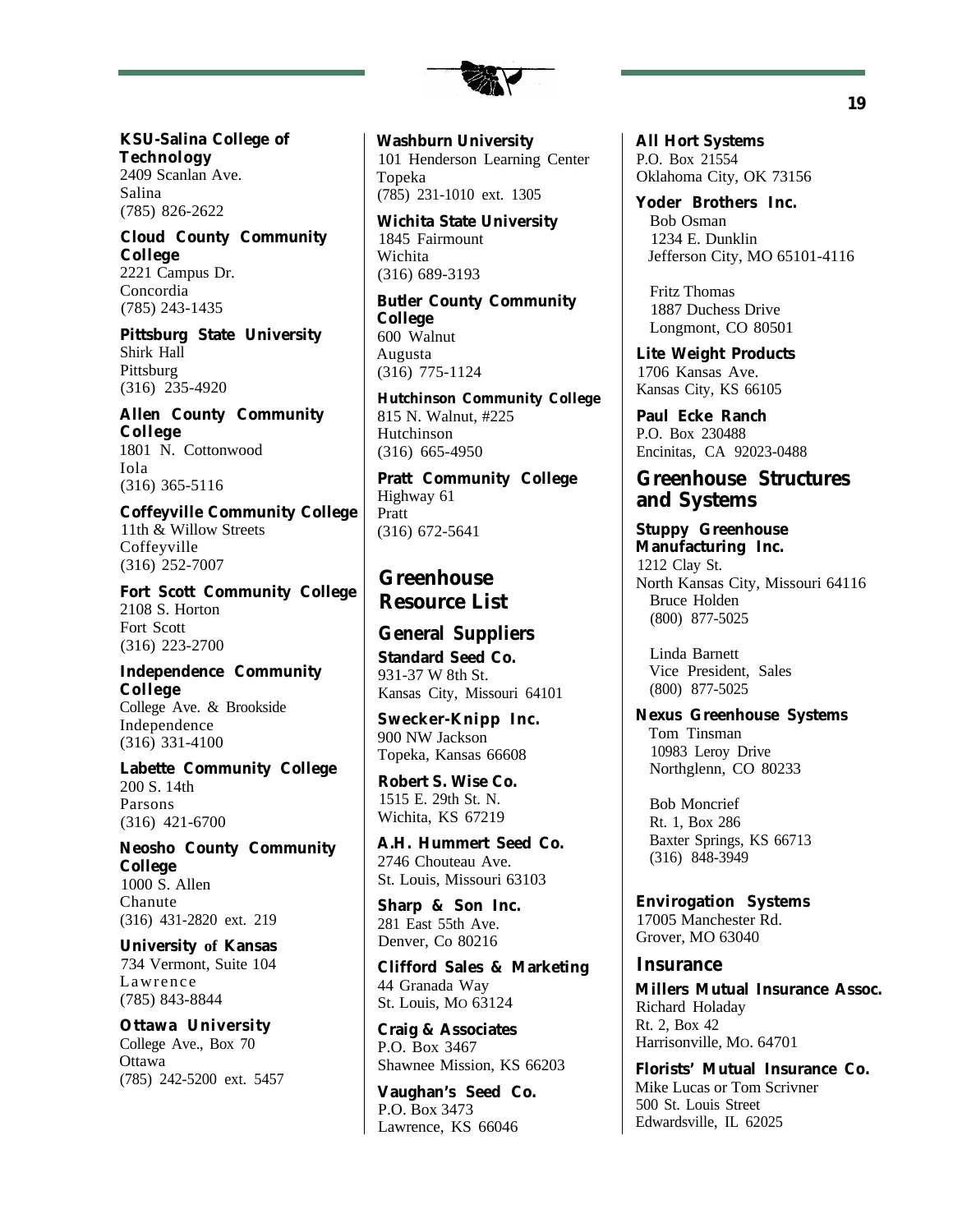

**KSU-Salina College of Technology** 2409 Scanlan Ave. Salina (785) 826-2622

**Cloud County Community College** 2221 Campus Dr. Concordia (785) 243-1435

**Pittsburg State University** Shirk Hall Pittsburg (316) 235-4920

**Allen County Community College** 1801 N. Cottonwood Iola (316) 365-5116

**Coffeyville Community College** 11th & Willow Streets Coffeyville (316) 252-7007

**Fort Scott Community College** 2108 S. Horton Fort Scott (316) 223-2700

**Independence Community College** College Ave. & Brookside Independence (316) 331-4100

**Labette Community College** 200 S. 14th Parsons (316) 421-6700

**Neosho County Community College** 1000 S. Allen Chanute (316) 431-2820 ext. 219

**University of Kansas** 734 Vermont, Suite 104 Lawrence (785) 843-8844

**Ottawa University** College Ave., Box 70 Ottawa (785) 242-5200 ext. 5457

**Washburn University** 101 Henderson Learning Center Topeka (785) 231-1010 ext. 1305

**Wichita State University** 1845 Fairmount Wichita (316) 689-3193

**Butler County Community College** 600 Walnut Augusta (316) 775-1124

**Hutchinson Community College** 815 N. Walnut, #225 Hutchinson (316) 665-4950

**Pratt Community College** Highway 61 Pratt (316) 672-5641

# **Greenhouse Resource List**

### **General Suppliers**

**Standard Seed Co.** 931-37 W 8th St. Kansas City, Missouri 64101

**Swecker-Knipp Inc.** 900 NW Jackson Topeka, Kansas 66608

**Robert S. Wise Co.** 1515 E. 29th St. N. Wichita, KS 67219

**A.H. Hummert Seed Co.** 2746 Chouteau Ave. St. Louis, Missouri 63103

**Sharp & Son Inc.** 281 East 55th Ave. Denver, Co 80216

**Clifford Sales & Marketing** 44 Granada Way St. Louis, MO 63124

**Craig & Associates** P.O. Box 3467 Shawnee Mission, KS 66203

**Vaughan's Seed Co.** P.O. Box 3473 Lawrence, KS 66046

**All Hort Systems** P.O. Box 21554 Oklahoma City, OK 73156

**Yoder Brothers Inc.** Bob Osman 1234 E. Dunklin Jefferson City, MO 65101-4116

Fritz Thomas 1887 Duchess Drive Longmont, CO 80501

**Lite Weight Products** 1706 Kansas Ave. Kansas City, KS 66105

**Paul Ecke Ranch** P.O. Box 230488 Encinitas, CA 92023-0488

### **Greenhouse Structures and Systems**

**Stuppy Greenhouse Manufacturing Inc.** 1212 Clay St. North Kansas City, Missouri 64116 Bruce Holden (800) 877-5025

Linda Barnett Vice President, Sales (800) 877-5025

**Nexus Greenhouse Systems** Tom Tinsman 10983 Leroy Drive Northglenn, CO 80233

Bob Moncrief Rt. 1, Box 286 Baxter Springs, KS 66713 (316) 848-3949

**Envirogation Systems** 17005 Manchester Rd. Grover, MO 63040

#### **Insurance**

**Millers Mutual Insurance Assoc.** Richard Holaday Rt. 2, Box 42 Harrisonville, MO. 64701

**Florists' Mutual Insurance Co.** Mike Lucas or Tom Scrivner 500 St. Louis Street Edwardsville, IL 62025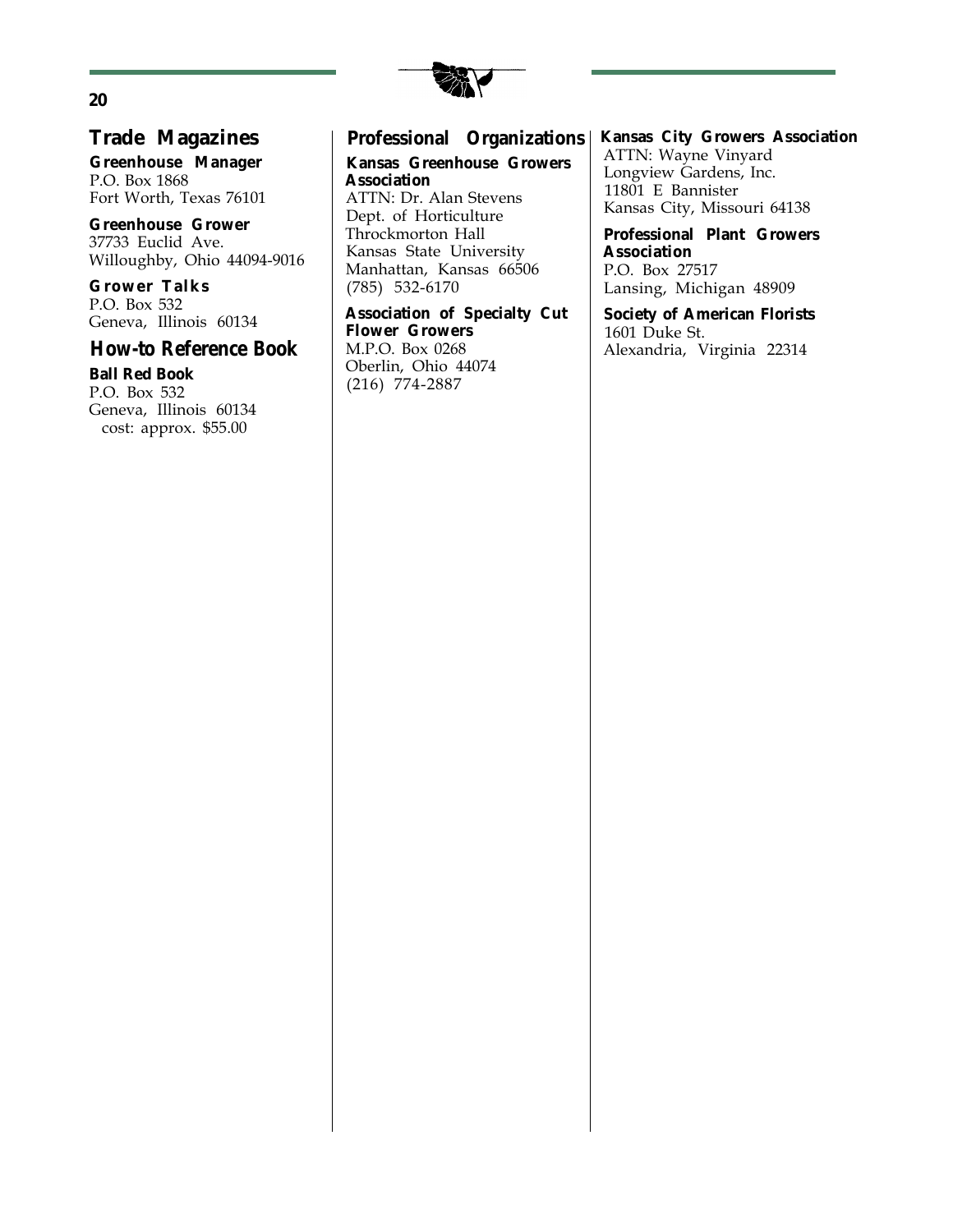

### **Trade Magazines**

**Greenhouse Manager** P.O. Box 1868 Fort Worth, Texas 76101

**Greenhouse Grower** 37733 Euclid Ave. Willoughby, Ohio 44094-9016

**Grower Talks** P.O. Box 532 Geneva, Illinois 60134

#### **How-to Reference Book**

**Ball Red Book** P.O. Box 532 Geneva, Illinois 60134 cost: approx. \$55.00

### **Professional Organizations**

**Kansas Greenhouse Growers Association** ATTN: Dr. Alan Stevens Dept. of Horticulture Throckmorton Hall Kansas State University Manhattan, Kansas 66506 (785) 532-6170

**Association of Specialty Cut Flower Growers** M.P.O. Box 0268 Oberlin, Ohio 44074 (216) 774-2887

**Kansas City Growers Association** ATTN: Wayne Vinyard Longview Gardens, Inc. 11801 E Bannister Kansas City, Missouri 64138

**Professional Plant Growers Association** P.O. Box 27517 Lansing, Michigan 48909

**Society of American Florists** 1601 Duke St. Alexandria, Virginia 22314

#### **20**